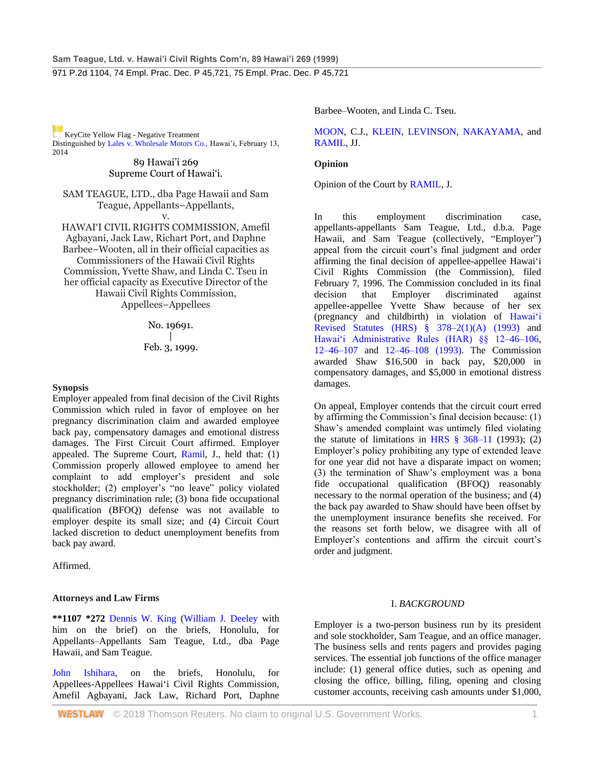[K](https://1.next.westlaw.com/Link/RelatedInformation/Flag?documentGuid=Icec8c963f55911d9b386b232635db992&transitionType=Document&originationContext=docHeaderFlag&contextData=(sc.UserEnteredCitation))eyCite Yellow Flag - Negative Treatment Distinguished by [Lales v. Wholesale Motors Co., H](https://1.next.westlaw.com/Document/Id510c6d4952211e381b8b0e9e015e69e/View/FullText.html?navigationPath=RelatedInfo%2Fv4%2Fkeycite%2Fnav%2F%3Fguid%3DId510c6d4952211e381b8b0e9e015e69e%26ss%3D1999046402%26ds%3D2032717946&listSource=RelatedInfo&list=NegativeCitingReferences&rank=0&originationContext=docHeader&transitionType=NegativeTreatment&contextData=%28sc.UserEnteredCitation%29)awai'i, February 13, 2014

89 Hawai'i 269 Supreme Court of Hawai'i.

SAM TEAGUE, LTD., dba Page Hawaii and Sam Teague, Appellants–Appellants, v.

HAWAI'I CIVIL RIGHTS COMMISSION, Amefil Agbayani, Jack Law, Richart Port, and Daphne Barbee–Wooten, all in their official capacities as Commissioners of the Hawaii Civil Rights Commission, Yvette Shaw, and Linda C. Tseu in her official capacity as Executive Director of the Hawaii Civil Rights Commission, Appellees–Appellees

> No. 19691.  $\blacksquare$ Feb. 3, 1999.

#### **Synopsis**

Employer appealed from final decision of the Civil Rights Commission which ruled in favor of employee on her pregnancy discrimination claim and awarded employee back pay, compensatory damages and emotional distress damages. The First Circuit Court affirmed. Employer appealed. The Supreme Court, [Ramil,](http://www.westlaw.com/Link/Document/FullText?findType=h&pubNum=176284&cite=0142415601&originatingDoc=Icec8c963f55911d9b386b232635db992&refType=RQ&originationContext=document&vr=3.0&rs=cblt1.0&transitionType=DocumentItem&contextData=(sc.UserEnteredCitation)) J., held that: (1) Commission properly allowed employee to amend her complaint to add employer's president and sole stockholder; (2) employer's "no leave" policy violated pregnancy discrimination rule; (3) bona fide occupational qualification (BFOQ) defense was not available to employer despite its small size; and (4) Circuit Court lacked discretion to deduct unemployment benefits from back pay award.

Affirmed.

#### **Attorneys and Law Firms**

**\*\*1107 \*272** [Dennis W. King](http://www.westlaw.com/Link/Document/FullText?findType=h&pubNum=176284&cite=0154601301&originatingDoc=Icec8c963f55911d9b386b232635db992&refType=RQ&originationContext=document&vr=3.0&rs=cblt1.0&transitionType=DocumentItem&contextData=(sc.UserEnteredCitation)) [\(William J. Deeley](http://www.westlaw.com/Link/Document/FullText?findType=h&pubNum=176284&cite=0104864401&originatingDoc=Icec8c963f55911d9b386b232635db992&refType=RQ&originationContext=document&vr=3.0&rs=cblt1.0&transitionType=DocumentItem&contextData=(sc.UserEnteredCitation)) with him on the brief) on the briefs, Honolulu, for Appellants–Appellants Sam Teague, Ltd., dba Page Hawaii, and Sam Teague.

[John Ishihara,](http://www.westlaw.com/Link/Document/FullText?findType=h&pubNum=176284&cite=0168720201&originatingDoc=Icec8c963f55911d9b386b232635db992&refType=RQ&originationContext=document&vr=3.0&rs=cblt1.0&transitionType=DocumentItem&contextData=(sc.UserEnteredCitation)) on the briefs, Honolulu, for Appellees-Appellees Hawai'i Civil Rights Commission, Amefil Agbayani, Jack Law, Richard Port, Daphne

Barbee–Wooten, and Linda C. Tseu.

# [MOON,](http://www.westlaw.com/Link/Document/FullText?findType=h&pubNum=176284&cite=0175338701&originatingDoc=Icec8c963f55911d9b386b232635db992&refType=RQ&originationContext=document&vr=3.0&rs=cblt1.0&transitionType=DocumentItem&contextData=(sc.UserEnteredCitation)) C.J., [KLEIN,](http://www.westlaw.com/Link/Document/FullText?findType=h&pubNum=176284&cite=0196724701&originatingDoc=Icec8c963f55911d9b386b232635db992&refType=RQ&originationContext=document&vr=3.0&rs=cblt1.0&transitionType=DocumentItem&contextData=(sc.UserEnteredCitation)) [LEVINSON,](http://www.westlaw.com/Link/Document/FullText?findType=h&pubNum=176284&cite=0196725601&originatingDoc=Icec8c963f55911d9b386b232635db992&refType=RQ&originationContext=document&vr=3.0&rs=cblt1.0&transitionType=DocumentItem&contextData=(sc.UserEnteredCitation)) [NAKAYAMA,](http://www.westlaw.com/Link/Document/FullText?findType=h&pubNum=176284&cite=0108333901&originatingDoc=Icec8c963f55911d9b386b232635db992&refType=RQ&originationContext=document&vr=3.0&rs=cblt1.0&transitionType=DocumentItem&contextData=(sc.UserEnteredCitation)) and [RAMIL,](http://www.westlaw.com/Link/Document/FullText?findType=h&pubNum=176284&cite=0142415601&originatingDoc=Icec8c963f55911d9b386b232635db992&refType=RQ&originationContext=document&vr=3.0&rs=cblt1.0&transitionType=DocumentItem&contextData=(sc.UserEnteredCitation)) JJ.

# **Opinion**

Opinion of the Court b[y RAMIL,](http://www.westlaw.com/Link/Document/FullText?findType=h&pubNum=176284&cite=0142415601&originatingDoc=Icec8c963f55911d9b386b232635db992&refType=RQ&originationContext=document&vr=3.0&rs=cblt1.0&transitionType=DocumentItem&contextData=(sc.UserEnteredCitation)) J.

In this employment discrimination case, appellants-appellants Sam Teague, Ltd., d.b.a. Page Hawaii, and Sam Teague (collectively, "Employer") appeal from the circuit court's final judgment and order affirming the final decision of appellee-appellee Hawai'i Civil Rights Commission (the Commission), filed February 7, 1996. The Commission concluded in its final decision that Employer discriminated against appellee-appellee Yvette Shaw because of her sex (pregnancy and childbirth) in violation of [Hawai'i](http://www.westlaw.com/Link/Document/FullText?findType=L&pubNum=1000522&cite=HISTS378-2&originatingDoc=Icec8c963f55911d9b386b232635db992&refType=LQ&originationContext=document&vr=3.0&rs=cblt1.0&transitionType=DocumentItem&contextData=(sc.UserEnteredCitation))  [Revised Statutes \(HRS\) § 378–2\(1\)\(A\) \(1993\)](http://www.westlaw.com/Link/Document/FullText?findType=L&pubNum=1000522&cite=HISTS378-2&originatingDoc=Icec8c963f55911d9b386b232635db992&refType=LQ&originationContext=document&vr=3.0&rs=cblt1.0&transitionType=DocumentItem&contextData=(sc.UserEnteredCitation)) and [Hawai'i Administrative Rules \(HAR\) §§ 12–46–106,](http://www.westlaw.com/Link/Document/FullText?findType=L&pubNum=1016667&cite=HIADCS12-46-106&originatingDoc=Icec8c963f55911d9b386b232635db992&refType=LQ&originationContext=document&vr=3.0&rs=cblt1.0&transitionType=DocumentItem&contextData=(sc.UserEnteredCitation)) [12–46–107](http://www.westlaw.com/Link/Document/FullText?findType=L&pubNum=1016667&cite=HIADCS12-46-107&originatingDoc=Icec8c963f55911d9b386b232635db992&refType=LQ&originationContext=document&vr=3.0&rs=cblt1.0&transitionType=DocumentItem&contextData=(sc.UserEnteredCitation)) and [12–46–108 \(1993\).](http://www.westlaw.com/Link/Document/FullText?findType=L&pubNum=1016667&cite=HIADCS12-46-108&originatingDoc=Icec8c963f55911d9b386b232635db992&refType=LQ&originationContext=document&vr=3.0&rs=cblt1.0&transitionType=DocumentItem&contextData=(sc.UserEnteredCitation)) The Commission awarded Shaw \$16,500 in back pay, \$20,000 in compensatory damages, and \$5,000 in emotional distress damages.

On appeal, Employer contends that the circuit court erred by affirming the Commission's final decision because: (1) Shaw's amended complaint was untimely filed violating the statute of limitations in HRS  $\S$  368–11 (1993); (2) Employer's policy prohibiting any type of extended leave for one year did not have a disparate impact on women; (3) the termination of Shaw's employment was a bona fide occupational qualification (BFOQ) reasonably necessary to the normal operation of the business; and (4) the back pay awarded to Shaw should have been offset by the unemployment insurance benefits she received. For the reasons set forth below, we disagree with all of Employer's contentions and affirm the circuit court's order and judgment.

# I. *BACKGROUND*

Employer is a two-person business run by its president and sole stockholder, Sam Teague, and an office manager. The business sells and rents pagers and provides paging services. The essential job functions of the office manager include: (1) general office duties, such as opening and closing the office, billing, filing, opening and closing customer accounts, receiving cash amounts under \$1,000,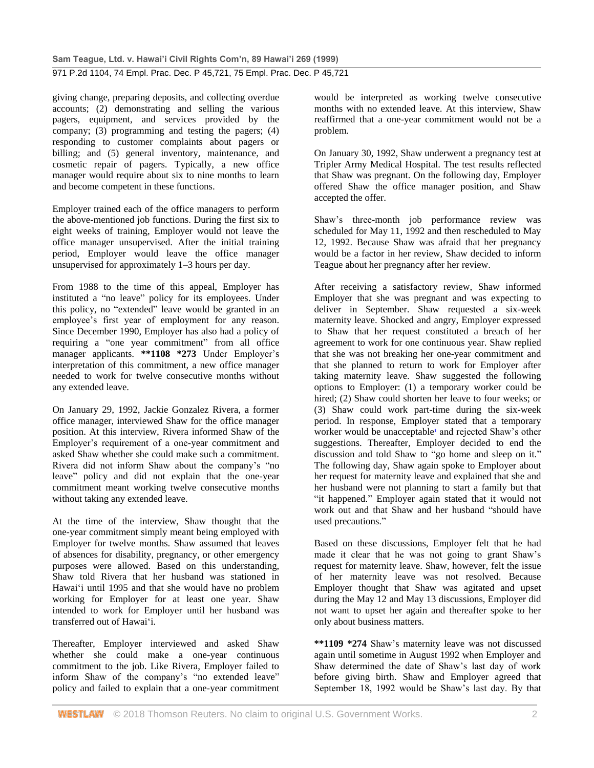giving change, preparing deposits, and collecting overdue accounts; (2) demonstrating and selling the various pagers, equipment, and services provided by the company; (3) programming and testing the pagers; (4) responding to customer complaints about pagers or billing; and (5) general inventory, maintenance, and cosmetic repair of pagers. Typically, a new office manager would require about six to nine months to learn and become competent in these functions.

Employer trained each of the office managers to perform the above-mentioned job functions. During the first six to eight weeks of training, Employer would not leave the office manager unsupervised. After the initial training period, Employer would leave the office manager unsupervised for approximately 1–3 hours per day.

From 1988 to the time of this appeal, Employer has instituted a "no leave" policy for its employees. Under this policy, no "extended" leave would be granted in an employee's first year of employment for any reason. Since December 1990, Employer has also had a policy of requiring a "one year commitment" from all office manager applicants. **\*\*1108 \*273** Under Employer's interpretation of this commitment, a new office manager needed to work for twelve consecutive months without any extended leave.

On January 29, 1992, Jackie Gonzalez Rivera, a former office manager, interviewed Shaw for the office manager position. At this interview, Rivera informed Shaw of the Employer's requirement of a one-year commitment and asked Shaw whether she could make such a commitment. Rivera did not inform Shaw about the company's "no leave" policy and did not explain that the one-year commitment meant working twelve consecutive months without taking any extended leave.

At the time of the interview, Shaw thought that the one-year commitment simply meant being employed with Employer for twelve months. Shaw assumed that leaves of absences for disability, pregnancy, or other emergency purposes were allowed. Based on this understanding, Shaw told Rivera that her husband was stationed in Hawai'i until 1995 and that she would have no problem working for Employer for at least one year. Shaw intended to work for Employer until her husband was transferred out of Hawai'i.

Thereafter, Employer interviewed and asked Shaw whether she could make a one-year continuous commitment to the job. Like Rivera, Employer failed to inform Shaw of the company's "no extended leave" policy and failed to explain that a one-year commitment would be interpreted as working twelve consecutive months with no extended leave. At this interview, Shaw reaffirmed that a one-year commitment would not be a problem.

On January 30, 1992, Shaw underwent a pregnancy test at Tripler Army Medical Hospital. The test results reflected that Shaw was pregnant. On the following day, Employer offered Shaw the office manager position, and Shaw accepted the offer.

Shaw's three-month job performance review was scheduled for May 11, 1992 and then rescheduled to May 12, 1992. Because Shaw was afraid that her pregnancy would be a factor in her review, Shaw decided to inform Teague about her pregnancy after her review.

After receiving a satisfactory review, Shaw informed Employer that she was pregnant and was expecting to deliver in September. Shaw requested a six-week maternity leave. Shocked and angry, Employer expressed to Shaw that her request constituted a breach of her agreement to work for one continuous year. Shaw replied that she was not breaking her one-year commitment and that she planned to return to work for Employer after taking maternity leave. Shaw suggested the following options to Employer: (1) a temporary worker could be hired; (2) Shaw could shorten her leave to four weeks; or (3) Shaw could work part-time during the six-week period. In response, Employer stated that a temporary worker would be unacceptable<sup>1</sup> and rejected Shaw's other suggestions. Thereafter, Employer decided to end the discussion and told Shaw to "go home and sleep on it." The following day, Shaw again spoke to Employer about her request for maternity leave and explained that she and her husband were not planning to start a family but that "it happened." Employer again stated that it would not work out and that Shaw and her husband "should have used precautions."

Based on these discussions, Employer felt that he had made it clear that he was not going to grant Shaw's request for maternity leave. Shaw, however, felt the issue of her maternity leave was not resolved. Because Employer thought that Shaw was agitated and upset during the May 12 and May 13 discussions, Employer did not want to upset her again and thereafter spoke to her only about business matters.

**\*\*1109 \*274** Shaw's maternity leave was not discussed again until sometime in August 1992 when Employer and Shaw determined the date of Shaw's last day of work before giving birth. Shaw and Employer agreed that September 18, 1992 would be Shaw's last day. By that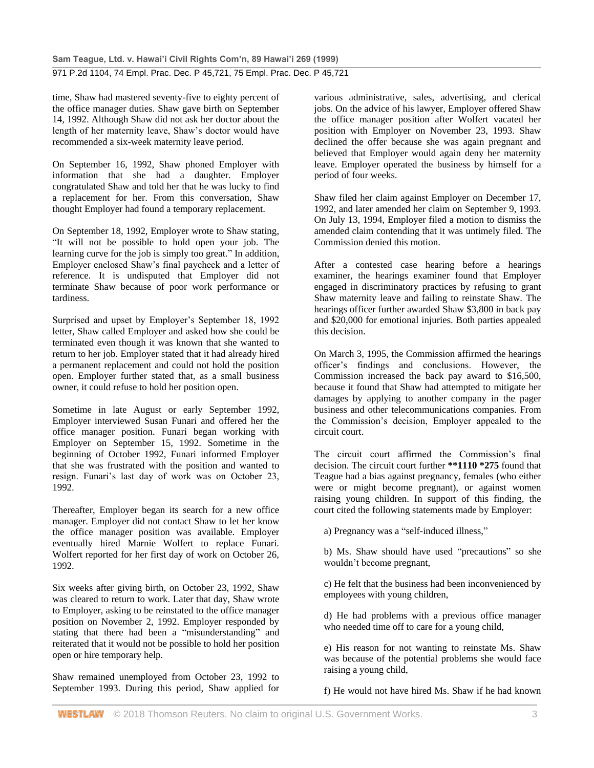time, Shaw had mastered seventy-five to eighty percent of the office manager duties. Shaw gave birth on September 14, 1992. Although Shaw did not ask her doctor about the length of her maternity leave, Shaw's doctor would have recommended a six-week maternity leave period.

On September 16, 1992, Shaw phoned Employer with information that she had a daughter. Employer congratulated Shaw and told her that he was lucky to find a replacement for her. From this conversation, Shaw thought Employer had found a temporary replacement.

On September 18, 1992, Employer wrote to Shaw stating, "It will not be possible to hold open your job. The learning curve for the job is simply too great." In addition, Employer enclosed Shaw's final paycheck and a letter of reference. It is undisputed that Employer did not terminate Shaw because of poor work performance or tardiness.

Surprised and upset by Employer's September 18, 1992 letter, Shaw called Employer and asked how she could be terminated even though it was known that she wanted to return to her job. Employer stated that it had already hired a permanent replacement and could not hold the position open. Employer further stated that, as a small business owner, it could refuse to hold her position open.

Sometime in late August or early September 1992, Employer interviewed Susan Funari and offered her the office manager position. Funari began working with Employer on September 15, 1992. Sometime in the beginning of October 1992, Funari informed Employer that she was frustrated with the position and wanted to resign. Funari's last day of work was on October 23, 1992.

Thereafter, Employer began its search for a new office manager. Employer did not contact Shaw to let her know the office manager position was available. Employer eventually hired Marnie Wolfert to replace Funari. Wolfert reported for her first day of work on October 26, 1992.

Six weeks after giving birth, on October 23, 1992, Shaw was cleared to return to work. Later that day, Shaw wrote to Employer, asking to be reinstated to the office manager position on November 2, 1992. Employer responded by stating that there had been a "misunderstanding" and reiterated that it would not be possible to hold her position open or hire temporary help.

Shaw remained unemployed from October 23, 1992 to September 1993. During this period, Shaw applied for various administrative, sales, advertising, and clerical jobs. On the advice of his lawyer, Employer offered Shaw the office manager position after Wolfert vacated her position with Employer on November 23, 1993. Shaw declined the offer because she was again pregnant and believed that Employer would again deny her maternity leave. Employer operated the business by himself for a period of four weeks.

Shaw filed her claim against Employer on December 17, 1992, and later amended her claim on September 9, 1993. On July 13, 1994, Employer filed a motion to dismiss the amended claim contending that it was untimely filed. The Commission denied this motion.

After a contested case hearing before a hearings examiner, the hearings examiner found that Employer engaged in discriminatory practices by refusing to grant Shaw maternity leave and failing to reinstate Shaw. The hearings officer further awarded Shaw \$3,800 in back pay and \$20,000 for emotional injuries. Both parties appealed this decision.

On March 3, 1995, the Commission affirmed the hearings officer's findings and conclusions. However, the Commission increased the back pay award to \$16,500, because it found that Shaw had attempted to mitigate her damages by applying to another company in the pager business and other telecommunications companies. From the Commission's decision, Employer appealed to the circuit court.

The circuit court affirmed the Commission's final decision. The circuit court further **\*\*1110 \*275** found that Teague had a bias against pregnancy, females (who either were or might become pregnant), or against women raising young children. In support of this finding, the court cited the following statements made by Employer:

a) Pregnancy was a "self-induced illness,"

b) Ms. Shaw should have used "precautions" so she wouldn't become pregnant,

c) He felt that the business had been inconvenienced by employees with young children,

d) He had problems with a previous office manager who needed time off to care for a young child,

e) His reason for not wanting to reinstate Ms. Shaw was because of the potential problems she would face raising a young child,

f) He would not have hired Ms. Shaw if he had known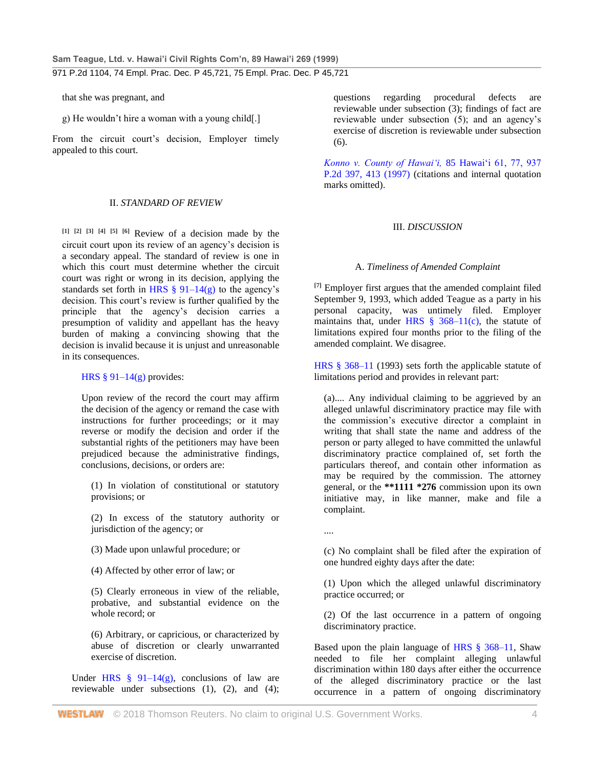that she was pregnant, and

g) He wouldn't hire a woman with a young child[.]

From the circuit court's decision, Employer timely appealed to this court.

#### II. *STANDARD OF REVIEW*

**[1] [2] [3] [4] [5] [6]** Review of a decision made by the circuit court upon its review of an agency's decision is a secondary appeal. The standard of review is one in which this court must determine whether the circuit court was right or wrong in its decision, applying the standards set forth in HRS  $\S$  91–14(g) to the agency's decision. This court's review is further qualified by the principle that the agency's decision carries a presumption of validity and appellant has the heavy burden of making a convincing showing that the decision is invalid because it is unjust and unreasonable in its consequences.

HRS  $§$  91–14(g) provides:

Upon review of the record the court may affirm the decision of the agency or remand the case with instructions for further proceedings; or it may reverse or modify the decision and order if the substantial rights of the petitioners may have been prejudiced because the administrative findings, conclusions, decisions, or orders are:

(1) In violation of constitutional or statutory provisions; or

(2) In excess of the statutory authority or jurisdiction of the agency; or

- (3) Made upon unlawful procedure; or
- (4) Affected by other error of law; or

(5) Clearly erroneous in view of the reliable, probative, and substantial evidence on the whole record; or

(6) Arbitrary, or capricious, or characterized by abuse of discretion or clearly unwarranted exercise of discretion.

Under HRS  $\S$  91–14(g), conclusions of law are reviewable under subsections (1), (2), and (4);

questions regarding procedural defects are reviewable under subsection (3); findings of fact are reviewable under subsection (5); and an agency's exercise of discretion is reviewable under subsection (6).

*[Konno v. County of Hawai'i,](http://www.westlaw.com/Link/Document/FullText?findType=Y&serNum=1997061522&pubNum=661&originatingDoc=Icec8c963f55911d9b386b232635db992&refType=RP&fi=co_pp_sp_661_413&originationContext=document&vr=3.0&rs=cblt1.0&transitionType=DocumentItem&contextData=(sc.UserEnteredCitation)#co_pp_sp_661_413)* 85 Hawai'i 61, 77, 937 [P.2d 397, 413 \(1997\)](http://www.westlaw.com/Link/Document/FullText?findType=Y&serNum=1997061522&pubNum=661&originatingDoc=Icec8c963f55911d9b386b232635db992&refType=RP&fi=co_pp_sp_661_413&originationContext=document&vr=3.0&rs=cblt1.0&transitionType=DocumentItem&contextData=(sc.UserEnteredCitation)#co_pp_sp_661_413) (citations and internal quotation marks omitted).

# III. *DISCUSSION*

### A. *Timeliness of Amended Complaint*

**[7]** Employer first argues that the amended complaint filed September 9, 1993, which added Teague as a party in his personal capacity, was untimely filed. Employer maintains that, under HRS  $\frac{8}{9}$  368–11(c), the statute of limitations expired four months prior to the filing of the amended complaint. We disagree.

[HRS § 368–11](http://www.westlaw.com/Link/Document/FullText?findType=L&pubNum=1000522&cite=HISTS368-11&originatingDoc=Icec8c963f55911d9b386b232635db992&refType=LQ&originationContext=document&vr=3.0&rs=cblt1.0&transitionType=DocumentItem&contextData=(sc.UserEnteredCitation)) (1993) sets forth the applicable statute of limitations period and provides in relevant part:

(a).... Any individual claiming to be aggrieved by an alleged unlawful discriminatory practice may file with the commission's executive director a complaint in writing that shall state the name and address of the person or party alleged to have committed the unlawful discriminatory practice complained of, set forth the particulars thereof, and contain other information as may be required by the commission. The attorney general, or the **\*\*1111 \*276** commission upon its own initiative may, in like manner, make and file a complaint.

....

(c) No complaint shall be filed after the expiration of one hundred eighty days after the date:

(1) Upon which the alleged unlawful discriminatory practice occurred; or

(2) Of the last occurrence in a pattern of ongoing discriminatory practice.

Based upon the plain language of [HRS § 368–11,](http://www.westlaw.com/Link/Document/FullText?findType=L&pubNum=1000522&cite=HISTS368-11&originatingDoc=Icec8c963f55911d9b386b232635db992&refType=LQ&originationContext=document&vr=3.0&rs=cblt1.0&transitionType=DocumentItem&contextData=(sc.UserEnteredCitation)) Shaw needed to file her complaint alleging unlawful discrimination within 180 days after either the occurrence of the alleged discriminatory practice or the last occurrence in a pattern of ongoing discriminatory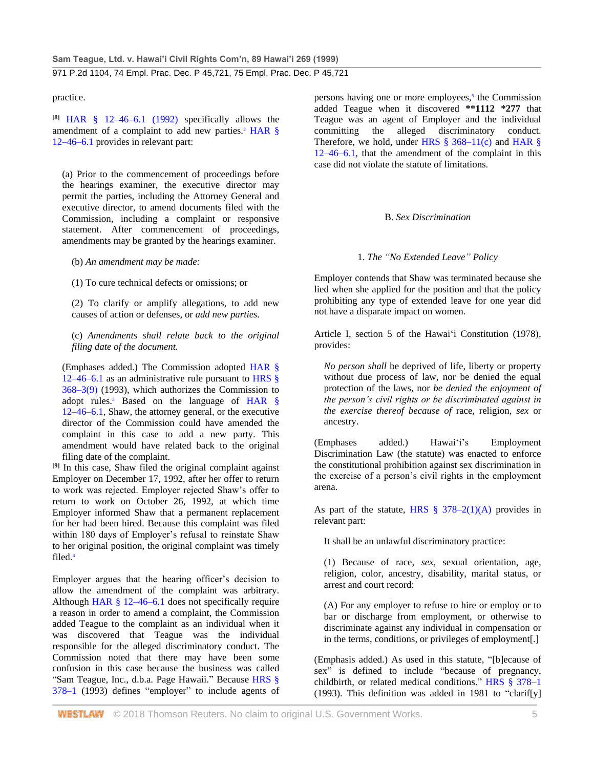# practice.

**[8]** [HAR § 12–46–6.1 \(1992\)](http://www.westlaw.com/Link/Document/FullText?findType=L&pubNum=1016667&cite=HIADCS12-46-6.1&originatingDoc=Icec8c963f55911d9b386b232635db992&refType=LQ&originationContext=document&vr=3.0&rs=cblt1.0&transitionType=DocumentItem&contextData=(sc.UserEnteredCitation)) specifically allows the amendment of a complaint to add new parties.<sup>2</sup> HAR  $\S$ [12–46–6.1](http://www.westlaw.com/Link/Document/FullText?findType=L&pubNum=1016667&cite=HIADCS12-46-6.1&originatingDoc=Icec8c963f55911d9b386b232635db992&refType=LQ&originationContext=document&vr=3.0&rs=cblt1.0&transitionType=DocumentItem&contextData=(sc.UserEnteredCitation)) provides in relevant part:

(a) Prior to the commencement of proceedings before the hearings examiner, the executive director may permit the parties, including the Attorney General and executive director, to amend documents filed with the Commission, including a complaint or responsive statement. After commencement of proceedings, amendments may be granted by the hearings examiner.

(b) *An amendment may be made:*

(1) To cure technical defects or omissions; or

(2) To clarify or amplify allegations, to add new causes of action or defenses, or *add new parties.*

(c) *Amendments shall relate back to the original filing date of the document.*

(Emphases added.) The Commission adopted [HAR §](http://www.westlaw.com/Link/Document/FullText?findType=L&pubNum=1016667&cite=HIADCS12-46-6.1&originatingDoc=Icec8c963f55911d9b386b232635db992&refType=LQ&originationContext=document&vr=3.0&rs=cblt1.0&transitionType=DocumentItem&contextData=(sc.UserEnteredCitation))   $12-46-6.1$  as an administrative rule pursuant to HRS § [368–3\(9\)](http://www.westlaw.com/Link/Document/FullText?findType=L&pubNum=1000522&cite=HISTS368-3&originatingDoc=Icec8c963f55911d9b386b232635db992&refType=SP&originationContext=document&vr=3.0&rs=cblt1.0&transitionType=DocumentItem&contextData=(sc.UserEnteredCitation)#co_pp_e5e400002dc26) (1993), which authorizes the Commission to adopt rules.<sup>3</sup> Based on the language of [HAR §](http://www.westlaw.com/Link/Document/FullText?findType=L&pubNum=1016667&cite=HIADCS12-46-6.1&originatingDoc=Icec8c963f55911d9b386b232635db992&refType=LQ&originationContext=document&vr=3.0&rs=cblt1.0&transitionType=DocumentItem&contextData=(sc.UserEnteredCitation))  [12–46–6.1,](http://www.westlaw.com/Link/Document/FullText?findType=L&pubNum=1016667&cite=HIADCS12-46-6.1&originatingDoc=Icec8c963f55911d9b386b232635db992&refType=LQ&originationContext=document&vr=3.0&rs=cblt1.0&transitionType=DocumentItem&contextData=(sc.UserEnteredCitation)) Shaw, the attorney general, or the executive director of the Commission could have amended the complaint in this case to add a new party. This amendment would have related back to the original filing date of the complaint.

**[9]** In this case, Shaw filed the original complaint against Employer on December 17, 1992, after her offer to return to work was rejected. Employer rejected Shaw's offer to return to work on October 26, 1992, at which time Employer informed Shaw that a permanent replacement for her had been hired. Because this complaint was filed within 180 days of Employer's refusal to reinstate Shaw to her original position, the original complaint was timely filed.<sup>4</sup>

Employer argues that the hearing officer's decision to allow the amendment of the complaint was arbitrary. Although [HAR § 12–46–6.1](http://www.westlaw.com/Link/Document/FullText?findType=L&pubNum=1016667&cite=HIADCS12-46-6.1&originatingDoc=Icec8c963f55911d9b386b232635db992&refType=LQ&originationContext=document&vr=3.0&rs=cblt1.0&transitionType=DocumentItem&contextData=(sc.UserEnteredCitation)) does not specifically require a reason in order to amend a complaint, the Commission added Teague to the complaint as an individual when it was discovered that Teague was the individual responsible for the alleged discriminatory conduct. The Commission noted that there may have been some confusion in this case because the business was called "Sam Teague, Inc., d.b.a. Page Hawaii." Because [HRS §](http://www.westlaw.com/Link/Document/FullText?findType=L&pubNum=1000522&cite=HISTS378-1&originatingDoc=Icec8c963f55911d9b386b232635db992&refType=LQ&originationContext=document&vr=3.0&rs=cblt1.0&transitionType=DocumentItem&contextData=(sc.UserEnteredCitation))  [378–1](http://www.westlaw.com/Link/Document/FullText?findType=L&pubNum=1000522&cite=HISTS378-1&originatingDoc=Icec8c963f55911d9b386b232635db992&refType=LQ&originationContext=document&vr=3.0&rs=cblt1.0&transitionType=DocumentItem&contextData=(sc.UserEnteredCitation)) (1993) defines "employer" to include agents of

persons having one or more employees,<sup>5</sup> the Commission added Teague when it discovered **\*\*1112 \*277** that Teague was an agent of Employer and the individual committing the alleged discriminatory conduct. Therefore, we hold, under HRS  $\S$  368–11(c) and HAR  $\S$ [12–46–6.1,](http://www.westlaw.com/Link/Document/FullText?findType=L&pubNum=1016667&cite=HIADCS12-46-6.1&originatingDoc=Icec8c963f55911d9b386b232635db992&refType=LQ&originationContext=document&vr=3.0&rs=cblt1.0&transitionType=DocumentItem&contextData=(sc.UserEnteredCitation)) that the amendment of the complaint in this case did not violate the statute of limitations.

#### B. *Sex Discrimination*

# 1. *The "No Extended Leave" Policy*

Employer contends that Shaw was terminated because she lied when she applied for the position and that the policy prohibiting any type of extended leave for one year did not have a disparate impact on women.

Article I, section 5 of the Hawai'i Constitution (1978), provides:

*No person shall* be deprived of life, liberty or property without due process of law, nor be denied the equal protection of the laws, nor *be denied the enjoyment of the person's civil rights or be discriminated against in the exercise thereof because of* race, religion, *sex* or ancestry.

(Emphases added.) Hawai'i's Employment Discrimination Law (the statute) was enacted to enforce the constitutional prohibition against sex discrimination in the exercise of a person's civil rights in the employment arena.

As part of the statute, HRS  $\S$  378–2(1)(A) provides in relevant part:

It shall be an unlawful discriminatory practice:

(1) Because of race, *sex,* sexual orientation, age, religion, color, ancestry, disability, marital status, or arrest and court record:

(A) For any employer to refuse to hire or employ or to bar or discharge from employment, or otherwise to discriminate against any individual in compensation or in the terms, conditions, or privileges of employment[.]

(Emphasis added.) As used in this statute, "[b]ecause of sex" is defined to include "because of pregnancy, childbirth, or related medical conditions." [HRS § 378–1](http://www.westlaw.com/Link/Document/FullText?findType=L&pubNum=1000522&cite=HISTS378-1&originatingDoc=Icec8c963f55911d9b386b232635db992&refType=LQ&originationContext=document&vr=3.0&rs=cblt1.0&transitionType=DocumentItem&contextData=(sc.UserEnteredCitation)) (1993). This definition was added in 1981 to "clarif[y]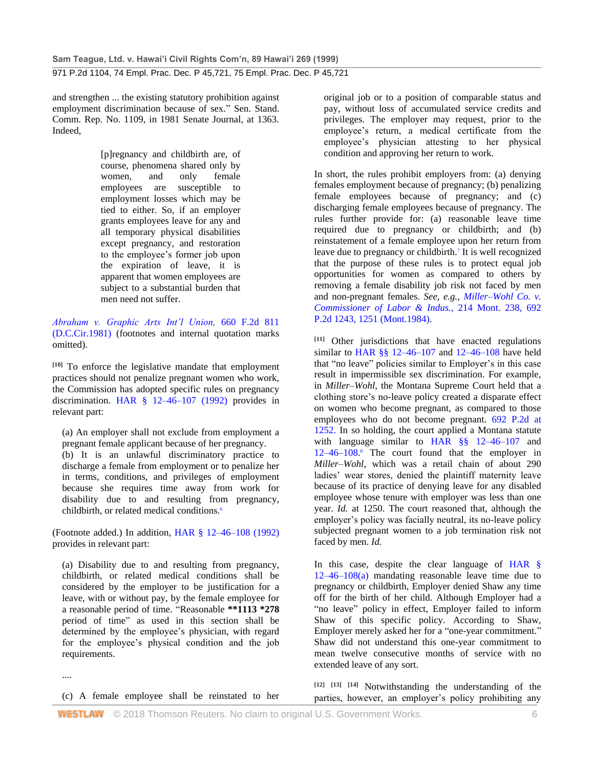and strengthen ... the existing statutory prohibition against employment discrimination because of sex." Sen. Stand. Comm. Rep. No. 1109, in 1981 Senate Journal, at 1363. Indeed,

> [p]regnancy and childbirth are, of course, phenomena shared only by women, and only female employees are susceptible to employment losses which may be tied to either. So, if an employer grants employees leave for any and all temporary physical disabilities except pregnancy, and restoration to the employee's former job upon the expiration of leave, it is apparent that women employees are subject to a substantial burden that men need not suffer.

*[Abraham v. Graphic Arts Int'l Union,](http://www.westlaw.com/Link/Document/FullText?findType=Y&serNum=1981144276&pubNum=350&originatingDoc=Icec8c963f55911d9b386b232635db992&refType=RP&originationContext=document&vr=3.0&rs=cblt1.0&transitionType=DocumentItem&contextData=(sc.UserEnteredCitation))* 660 F.2d 811 [\(D.C.Cir.1981\)](http://www.westlaw.com/Link/Document/FullText?findType=Y&serNum=1981144276&pubNum=350&originatingDoc=Icec8c963f55911d9b386b232635db992&refType=RP&originationContext=document&vr=3.0&rs=cblt1.0&transitionType=DocumentItem&contextData=(sc.UserEnteredCitation)) (footnotes and internal quotation marks omitted).

**[10]** To enforce the legislative mandate that employment practices should not penalize pregnant women who work, the Commission has adopted specific rules on pregnancy discrimination. [HAR § 12–46–107 \(1992\)](http://www.westlaw.com/Link/Document/FullText?findType=L&pubNum=1016667&cite=HIADCS12-46-107&originatingDoc=Icec8c963f55911d9b386b232635db992&refType=LQ&originationContext=document&vr=3.0&rs=cblt1.0&transitionType=DocumentItem&contextData=(sc.UserEnteredCitation)) provides in relevant part:

(a) An employer shall not exclude from employment a pregnant female applicant because of her pregnancy.

(b) It is an unlawful discriminatory practice to discharge a female from employment or to penalize her in terms, conditions, and privileges of employment because she requires time away from work for disability due to and resulting from pregnancy, childbirth, or related medical conditions.<sup>6</sup>

(Footnote added.) In addition, [HAR § 12–46–108 \(1992\)](http://www.westlaw.com/Link/Document/FullText?findType=L&pubNum=1016667&cite=HIADCS12-46-108&originatingDoc=Icec8c963f55911d9b386b232635db992&refType=LQ&originationContext=document&vr=3.0&rs=cblt1.0&transitionType=DocumentItem&contextData=(sc.UserEnteredCitation)) provides in relevant part:

(a) Disability due to and resulting from pregnancy, childbirth, or related medical conditions shall be considered by the employer to be justification for a leave, with or without pay, by the female employee for a reasonable period of time. "Reasonable **\*\*1113 \*278** period of time" as used in this section shall be determined by the employee's physician, with regard for the employee's physical condition and the job requirements.

original job or to a position of comparable status and pay, without loss of accumulated service credits and privileges. The employer may request, prior to the employee's return, a medical certificate from the employee's physician attesting to her physical condition and approving her return to work.

In short, the rules prohibit employers from: (a) denying females employment because of pregnancy; (b) penalizing female employees because of pregnancy; and (c) discharging female employees because of pregnancy. The rules further provide for: (a) reasonable leave time required due to pregnancy or childbirth; and (b) reinstatement of a female employee upon her return from leave due to pregnancy or childbirth.<sup>7</sup> It is well recognized that the purpose of these rules is to protect equal job opportunities for women as compared to others by removing a female disability job risk not faced by men and non-pregnant females. *See, e.g., [Miller–Wohl Co. v.](http://www.westlaw.com/Link/Document/FullText?findType=Y&serNum=1985100473&pubNum=661&originatingDoc=Icec8c963f55911d9b386b232635db992&refType=RP&fi=co_pp_sp_661_1251&originationContext=document&vr=3.0&rs=cblt1.0&transitionType=DocumentItem&contextData=(sc.UserEnteredCitation)#co_pp_sp_661_1251)  [Commissioner of Labor & Indus.,](http://www.westlaw.com/Link/Document/FullText?findType=Y&serNum=1985100473&pubNum=661&originatingDoc=Icec8c963f55911d9b386b232635db992&refType=RP&fi=co_pp_sp_661_1251&originationContext=document&vr=3.0&rs=cblt1.0&transitionType=DocumentItem&contextData=(sc.UserEnteredCitation)#co_pp_sp_661_1251)* 214 Mont. 238, 692 [P.2d 1243, 1251 \(Mont.1984\).](http://www.westlaw.com/Link/Document/FullText?findType=Y&serNum=1985100473&pubNum=661&originatingDoc=Icec8c963f55911d9b386b232635db992&refType=RP&fi=co_pp_sp_661_1251&originationContext=document&vr=3.0&rs=cblt1.0&transitionType=DocumentItem&contextData=(sc.UserEnteredCitation)#co_pp_sp_661_1251)

**[11]** Other jurisdictions that have enacted regulations similar to HAR  $\S$  12-46-107 and 12-46-108 have held that "no leave" policies similar to Employer's in this case result in impermissible sex discrimination. For example, in *Miller–Wohl,* the Montana Supreme Court held that a clothing store's no-leave policy created a disparate effect on women who become pregnant, as compared to those employees who do not become pregnant. [692 P.2d at](http://www.westlaw.com/Link/Document/FullText?findType=Y&serNum=1985100473&pubNum=661&originatingDoc=Icec8c963f55911d9b386b232635db992&refType=RP&fi=co_pp_sp_661_1252&originationContext=document&vr=3.0&rs=cblt1.0&transitionType=DocumentItem&contextData=(sc.UserEnteredCitation)#co_pp_sp_661_1252)  [1252.](http://www.westlaw.com/Link/Document/FullText?findType=Y&serNum=1985100473&pubNum=661&originatingDoc=Icec8c963f55911d9b386b232635db992&refType=RP&fi=co_pp_sp_661_1252&originationContext=document&vr=3.0&rs=cblt1.0&transitionType=DocumentItem&contextData=(sc.UserEnteredCitation)#co_pp_sp_661_1252) In so holding, the court applied a Montana statute with language similar to [HAR §§ 12–46–107](http://www.westlaw.com/Link/Document/FullText?findType=L&pubNum=1016667&cite=HIADCS12-46-107&originatingDoc=Icec8c963f55911d9b386b232635db992&refType=LQ&originationContext=document&vr=3.0&rs=cblt1.0&transitionType=DocumentItem&contextData=(sc.UserEnteredCitation)) and [12–46–108.](http://www.westlaw.com/Link/Document/FullText?findType=L&pubNum=1016667&cite=HIADCS12-46-108&originatingDoc=Icec8c963f55911d9b386b232635db992&refType=LQ&originationContext=document&vr=3.0&rs=cblt1.0&transitionType=DocumentItem&contextData=(sc.UserEnteredCitation)) <sup>8</sup> The court found that the employer in *Miller–Wohl,* which was a retail chain of about 290 ladies' wear stores, denied the plaintiff maternity leave because of its practice of denying leave for any disabled employee whose tenure with employer was less than one year. *Id.* at 1250. The court reasoned that, although the employer's policy was facially neutral, its no-leave policy subjected pregnant women to a job termination risk not faced by men. *Id.*

In this case, despite the clear language of [HAR §](http://www.westlaw.com/Link/Document/FullText?findType=L&pubNum=1016667&cite=HIADCS12-46-108&originatingDoc=Icec8c963f55911d9b386b232635db992&refType=LQ&originationContext=document&vr=3.0&rs=cblt1.0&transitionType=DocumentItem&contextData=(sc.UserEnteredCitation))   $12-46-108(a)$  mandating reasonable leave time due to pregnancy or childbirth, Employer denied Shaw any time off for the birth of her child. Although Employer had a "no leave" policy in effect, Employer failed to inform Shaw of this specific policy. According to Shaw, Employer merely asked her for a "one-year commitment." Shaw did not understand this one-year commitment to mean twelve consecutive months of service with no extended leave of any sort.

**[12] [13] [14]** Notwithstanding the understanding of the parties, however, an employer's policy prohibiting any

(c) A female employee shall be reinstated to her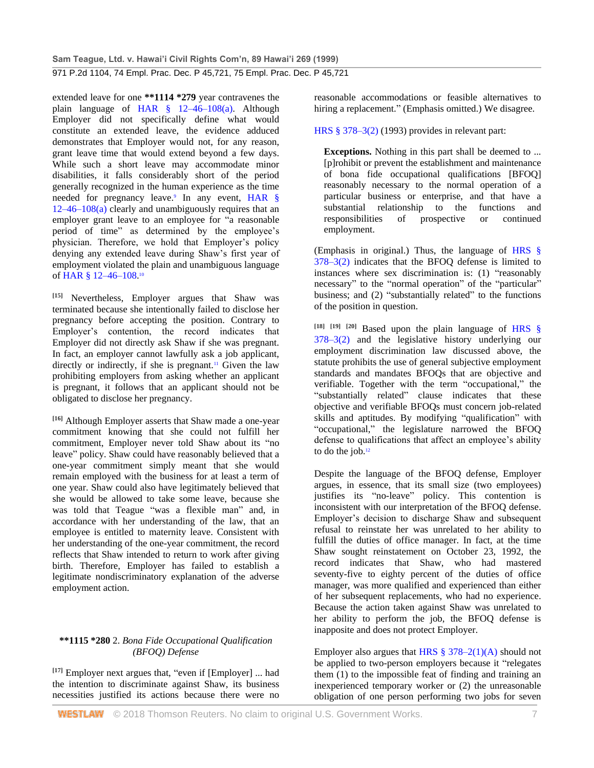extended leave for one **\*\*1114 \*279** year contravenes the plain language of [HAR § 12–46–108\(a\).](http://www.westlaw.com/Link/Document/FullText?findType=L&pubNum=1016667&cite=HIADCS12-46-108&originatingDoc=Icec8c963f55911d9b386b232635db992&refType=LQ&originationContext=document&vr=3.0&rs=cblt1.0&transitionType=DocumentItem&contextData=(sc.UserEnteredCitation)) Although Employer did not specifically define what would constitute an extended leave, the evidence adduced demonstrates that Employer would not, for any reason, grant leave time that would extend beyond a few days. While such a short leave may accommodate minor disabilities, it falls considerably short of the period generally recognized in the human experience as the time needed for pregnancy leave.<sup>9</sup> In any event, HAR §  $12-46-108(a)$  clearly and unambiguously requires that an employer grant leave to an employee for "a reasonable period of time" as determined by the employee's physician. Therefore, we hold that Employer's policy denying any extended leave during Shaw's first year of employment violated the plain and unambiguous language of HAR § 12-46-108.<sup>10</sup>

**[15]** Nevertheless, Employer argues that Shaw was terminated because she intentionally failed to disclose her pregnancy before accepting the position. Contrary to Employer's contention, the record indicates that Employer did not directly ask Shaw if she was pregnant. In fact, an employer cannot lawfully ask a job applicant, directly or indirectly, if she is pregnant.<sup>11</sup> Given the law prohibiting employers from asking whether an applicant is pregnant, it follows that an applicant should not be obligated to disclose her pregnancy.

**[16]** Although Employer asserts that Shaw made a one-year commitment knowing that she could not fulfill her commitment, Employer never told Shaw about its "no leave" policy. Shaw could have reasonably believed that a one-year commitment simply meant that she would remain employed with the business for at least a term of one year. Shaw could also have legitimately believed that she would be allowed to take some leave, because she was told that Teague "was a flexible man" and, in accordance with her understanding of the law, that an employee is entitled to maternity leave. Consistent with her understanding of the one-year commitment, the record reflects that Shaw intended to return to work after giving birth. Therefore, Employer has failed to establish a legitimate nondiscriminatory explanation of the adverse employment action.

# **\*\*1115 \*280** 2. *Bona Fide Occupational Qualification (BFOQ) Defense*

**[17]** Employer next argues that, "even if [Employer] ... had the intention to discriminate against Shaw, its business necessities justified its actions because there were no reasonable accommodations or feasible alternatives to hiring a replacement." (Emphasis omitted.) We disagree.

[HRS § 378–3\(2\)](http://www.westlaw.com/Link/Document/FullText?findType=L&pubNum=1000522&cite=HISTS378-3&originatingDoc=Icec8c963f55911d9b386b232635db992&refType=SP&originationContext=document&vr=3.0&rs=cblt1.0&transitionType=DocumentItem&contextData=(sc.UserEnteredCitation)#co_pp_58730000872b1) (1993) provides in relevant part:

**Exceptions.** Nothing in this part shall be deemed to ... [p]rohibit or prevent the establishment and maintenance of bona fide occupational qualifications [BFOQ] reasonably necessary to the normal operation of a particular business or enterprise, and that have a substantial relationship to the functions and responsibilities of prospective or continued employment.

(Emphasis in original.) Thus, the language of [HRS §](http://www.westlaw.com/Link/Document/FullText?findType=L&pubNum=1000522&cite=HISTS378-3&originatingDoc=Icec8c963f55911d9b386b232635db992&refType=SP&originationContext=document&vr=3.0&rs=cblt1.0&transitionType=DocumentItem&contextData=(sc.UserEnteredCitation)#co_pp_58730000872b1)  [378–3\(2\)](http://www.westlaw.com/Link/Document/FullText?findType=L&pubNum=1000522&cite=HISTS378-3&originatingDoc=Icec8c963f55911d9b386b232635db992&refType=SP&originationContext=document&vr=3.0&rs=cblt1.0&transitionType=DocumentItem&contextData=(sc.UserEnteredCitation)#co_pp_58730000872b1) indicates that the BFOQ defense is limited to instances where sex discrimination is: (1) "reasonably necessary" to the "normal operation" of the "particular" business; and (2) "substantially related" to the functions of the position in question.

**[18] [19] [20]** Based upon the plain language of [HRS §](http://www.westlaw.com/Link/Document/FullText?findType=L&pubNum=1000522&cite=HISTS378-3&originatingDoc=Icec8c963f55911d9b386b232635db992&refType=SP&originationContext=document&vr=3.0&rs=cblt1.0&transitionType=DocumentItem&contextData=(sc.UserEnteredCitation)#co_pp_58730000872b1)  [378–3\(2\)](http://www.westlaw.com/Link/Document/FullText?findType=L&pubNum=1000522&cite=HISTS378-3&originatingDoc=Icec8c963f55911d9b386b232635db992&refType=SP&originationContext=document&vr=3.0&rs=cblt1.0&transitionType=DocumentItem&contextData=(sc.UserEnteredCitation)#co_pp_58730000872b1) and the legislative history underlying our employment discrimination law discussed above, the statute prohibits the use of general subjective employment standards and mandates BFOQs that are objective and verifiable. Together with the term "occupational," the "substantially related" clause indicates that these objective and verifiable BFOQs must concern job-related skills and aptitudes. By modifying "qualification" with "occupational," the legislature narrowed the BFOQ defense to qualifications that affect an employee's ability to do the job. $12$ 

Despite the language of the BFOQ defense, Employer argues, in essence, that its small size (two employees) justifies its "no-leave" policy. This contention is inconsistent with our interpretation of the BFOQ defense. Employer's decision to discharge Shaw and subsequent refusal to reinstate her was unrelated to her ability to fulfill the duties of office manager. In fact, at the time Shaw sought reinstatement on October 23, 1992, the record indicates that Shaw, who had mastered seventy-five to eighty percent of the duties of office manager, was more qualified and experienced than either of her subsequent replacements, who had no experience. Because the action taken against Shaw was unrelated to her ability to perform the job, the BFOQ defense is inapposite and does not protect Employer.

Employer also argues that HRS  $\S 378-2(1)(A)$  should not be applied to two-person employers because it "relegates them (1) to the impossible feat of finding and training an inexperienced temporary worker or (2) the unreasonable obligation of one person performing two jobs for seven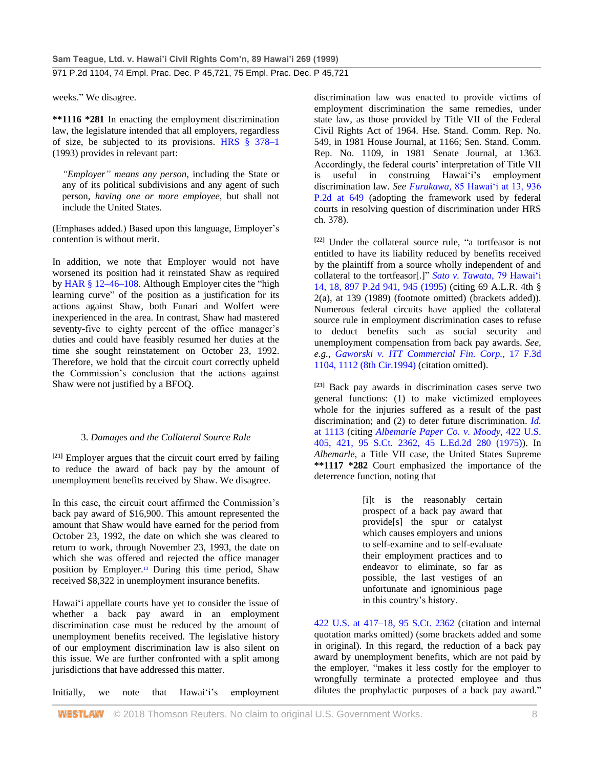weeks." We disagree.

**\*\*1116 \*281** In enacting the employment discrimination law, the legislature intended that all employers, regardless of size, be subjected to its provisions. [HRS § 378–1](http://www.westlaw.com/Link/Document/FullText?findType=L&pubNum=1000522&cite=HISTS378-1&originatingDoc=Icec8c963f55911d9b386b232635db992&refType=LQ&originationContext=document&vr=3.0&rs=cblt1.0&transitionType=DocumentItem&contextData=(sc.UserEnteredCitation)) (1993) provides in relevant part:

*"Employer" means any person,* including the State or any of its political subdivisions and any agent of such person, *having one or more employee,* but shall not include the United States.

(Emphases added.) Based upon this language, Employer's contention is without merit.

In addition, we note that Employer would not have worsened its position had it reinstated Shaw as required b[y HAR § 12–46–108.](http://www.westlaw.com/Link/Document/FullText?findType=L&pubNum=1016667&cite=HIADCS12-46-108&originatingDoc=Icec8c963f55911d9b386b232635db992&refType=LQ&originationContext=document&vr=3.0&rs=cblt1.0&transitionType=DocumentItem&contextData=(sc.UserEnteredCitation)) Although Employer cites the "high learning curve" of the position as a justification for its actions against Shaw, both Funari and Wolfert were inexperienced in the area. In contrast, Shaw had mastered seventy-five to eighty percent of the office manager's duties and could have feasibly resumed her duties at the time she sought reinstatement on October 23, 1992. Therefore, we hold that the circuit court correctly upheld the Commission's conclusion that the actions against Shaw were not justified by a BFOQ.

#### 3. *Damages and the Collateral Source Rule*

**[21]** Employer argues that the circuit court erred by failing to reduce the award of back pay by the amount of unemployment benefits received by Shaw. We disagree.

In this case, the circuit court affirmed the Commission's back pay award of \$16,900. This amount represented the amount that Shaw would have earned for the period from October 23, 1992, the date on which she was cleared to return to work, through November 23, 1993, the date on which she was offered and rejected the office manager position by Employer.<sup>13</sup> During this time period, Shaw received \$8,322 in unemployment insurance benefits.

Hawai'i appellate courts have yet to consider the issue of whether a back pay award in an employment discrimination case must be reduced by the amount of unemployment benefits received. The legislative history of our employment discrimination law is also silent on this issue. We are further confronted with a split among jurisdictions that have addressed this matter.

Initially, we note that Hawai'i's employment

discrimination law was enacted to provide victims of employment discrimination the same remedies, under state law, as those provided by Title VII of the Federal Civil Rights Act of 1964. Hse. Stand. Comm. Rep. No. 549, in 1981 House Journal, at 1166; Sen. Stand. Comm. Rep. No. 1109, in 1981 Senate Journal, at 1363. Accordingly, the federal courts' interpretation of Title VII is useful in construing Hawai'i's employment discrimination law. *See Furukawa,* [85 Hawai'i at 13, 936](http://www.westlaw.com/Link/Document/FullText?findType=Y&serNum=1997087158&pubNum=661&originatingDoc=Icec8c963f55911d9b386b232635db992&refType=RP&fi=co_pp_sp_661_649&originationContext=document&vr=3.0&rs=cblt1.0&transitionType=DocumentItem&contextData=(sc.UserEnteredCitation)#co_pp_sp_661_649)  P.2d [at 649](http://www.westlaw.com/Link/Document/FullText?findType=Y&serNum=1997087158&pubNum=661&originatingDoc=Icec8c963f55911d9b386b232635db992&refType=RP&fi=co_pp_sp_661_649&originationContext=document&vr=3.0&rs=cblt1.0&transitionType=DocumentItem&contextData=(sc.UserEnteredCitation)#co_pp_sp_661_649) (adopting the framework used by federal courts in resolving question of discrimination under HRS ch. 378).

**[22]** Under the collateral source rule, "a tortfeasor is not entitled to have its liability reduced by benefits received by the plaintiff from a source wholly independent of and collateral to the tortfeasor[.]" *[Sato v. Tawata,](http://www.westlaw.com/Link/Document/FullText?findType=Y&serNum=1995113187&pubNum=661&originatingDoc=Icec8c963f55911d9b386b232635db992&refType=RP&fi=co_pp_sp_661_945&originationContext=document&vr=3.0&rs=cblt1.0&transitionType=DocumentItem&contextData=(sc.UserEnteredCitation)#co_pp_sp_661_945)* 79 Hawai'i [14, 18, 897 P.2d 941, 945 \(1995\)](http://www.westlaw.com/Link/Document/FullText?findType=Y&serNum=1995113187&pubNum=661&originatingDoc=Icec8c963f55911d9b386b232635db992&refType=RP&fi=co_pp_sp_661_945&originationContext=document&vr=3.0&rs=cblt1.0&transitionType=DocumentItem&contextData=(sc.UserEnteredCitation)#co_pp_sp_661_945) (citing 69 A.L.R. 4th §  $2(a)$ , at 139 (1989) (footnote omitted) (brackets added)). Numerous federal circuits have applied the collateral source rule in employment discrimination cases to refuse to deduct benefits such as social security and unemployment compensation from back pay awards. *See, e.g., [Gaworski v. ITT Commercial Fin. Corp.,](http://www.westlaw.com/Link/Document/FullText?findType=Y&serNum=1994056360&pubNum=506&originatingDoc=Icec8c963f55911d9b386b232635db992&refType=RP&fi=co_pp_sp_506_1112&originationContext=document&vr=3.0&rs=cblt1.0&transitionType=DocumentItem&contextData=(sc.UserEnteredCitation)#co_pp_sp_506_1112)* 17 F.3d [1104, 1112 \(8th Cir.1994\)](http://www.westlaw.com/Link/Document/FullText?findType=Y&serNum=1994056360&pubNum=506&originatingDoc=Icec8c963f55911d9b386b232635db992&refType=RP&fi=co_pp_sp_506_1112&originationContext=document&vr=3.0&rs=cblt1.0&transitionType=DocumentItem&contextData=(sc.UserEnteredCitation)#co_pp_sp_506_1112) (citation omitted).

**[23]** Back pay awards in discrimination cases serve two general functions: (1) to make victimized employees whole for the injuries suffered as a result of the past discrimination; and (2) to deter future discrimination. *[Id.](http://www.westlaw.com/Link/Document/FullText?findType=Y&serNum=1994056360&originatingDoc=Icec8c963f55911d9b386b232635db992&refType=RP&originationContext=document&vr=3.0&rs=cblt1.0&transitionType=DocumentItem&contextData=(sc.UserEnteredCitation))* [at 1113](http://www.westlaw.com/Link/Document/FullText?findType=Y&serNum=1994056360&originatingDoc=Icec8c963f55911d9b386b232635db992&refType=RP&originationContext=document&vr=3.0&rs=cblt1.0&transitionType=DocumentItem&contextData=(sc.UserEnteredCitation)) (citing *[Albemarle Paper Co. v. Moody,](http://www.westlaw.com/Link/Document/FullText?findType=Y&serNum=1975129830&pubNum=708&originatingDoc=Icec8c963f55911d9b386b232635db992&refType=RP&originationContext=document&vr=3.0&rs=cblt1.0&transitionType=DocumentItem&contextData=(sc.UserEnteredCitation))* 422 U.S. [405, 421, 95 S.Ct. 2362, 45 L.Ed.2d 280 \(1975\)\)](http://www.westlaw.com/Link/Document/FullText?findType=Y&serNum=1975129830&pubNum=708&originatingDoc=Icec8c963f55911d9b386b232635db992&refType=RP&originationContext=document&vr=3.0&rs=cblt1.0&transitionType=DocumentItem&contextData=(sc.UserEnteredCitation)). In *Albemarle,* a Title VII case, the United States Supreme **\*\*1117 \*282** Court emphasized the importance of the deterrence function, noting that

> [i]t is the reasonably certain prospect of a back pay award that provide[s] the spur or catalyst which causes employers and unions to self-examine and to self-evaluate their employment practices and to endeavor to eliminate, so far as possible, the last vestiges of an unfortunate and ignominious page in this country's history.

[422 U.S. at 417–18, 95 S.Ct. 2362](http://www.westlaw.com/Link/Document/FullText?findType=Y&serNum=1975129830&pubNum=708&originatingDoc=Icec8c963f55911d9b386b232635db992&refType=RP&originationContext=document&vr=3.0&rs=cblt1.0&transitionType=DocumentItem&contextData=(sc.UserEnteredCitation)) (citation and internal quotation marks omitted) (some brackets added and some in original). In this regard, the reduction of a back pay award by unemployment benefits, which are not paid by the employer, "makes it less costly for the employer to wrongfully terminate a protected employee and thus dilutes the prophylactic purposes of a back pay award."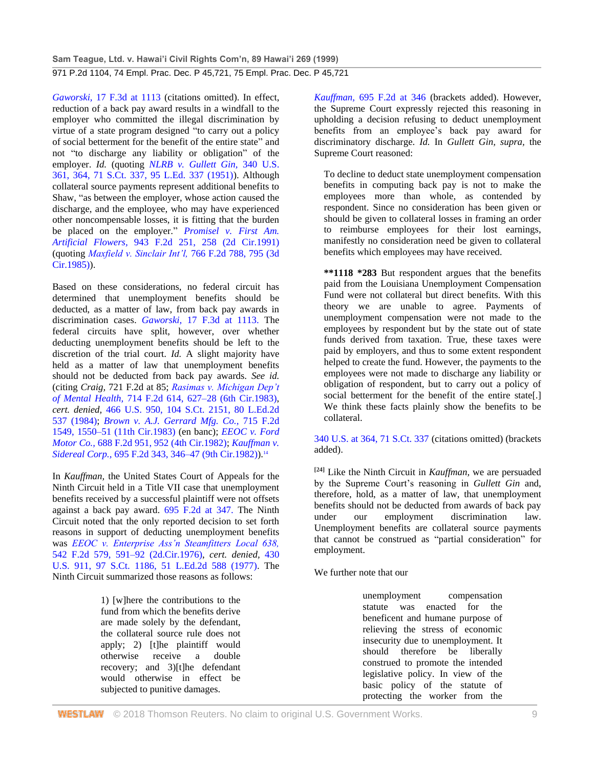*Gaworski,* [17 F.3d at 1113](http://www.westlaw.com/Link/Document/FullText?findType=Y&serNum=1994056360&pubNum=506&originatingDoc=Icec8c963f55911d9b386b232635db992&refType=RP&fi=co_pp_sp_506_1113&originationContext=document&vr=3.0&rs=cblt1.0&transitionType=DocumentItem&contextData=(sc.UserEnteredCitation)#co_pp_sp_506_1113) (citations omitted). In effect, reduction of a back pay award results in a windfall to the employer who committed the illegal discrimination by virtue of a state program designed "to carry out a policy of social betterment for the benefit of the entire state" and not "to discharge any liability or obligation" of the employer. *Id.* (quoting *[NLRB v. Gullett Gin,](http://www.westlaw.com/Link/Document/FullText?findType=Y&serNum=1951118625&pubNum=708&originatingDoc=Icec8c963f55911d9b386b232635db992&refType=RP&originationContext=document&vr=3.0&rs=cblt1.0&transitionType=DocumentItem&contextData=(sc.UserEnteredCitation))* 340 U.S. [361, 364, 71 S.Ct. 337, 95 L.Ed. 337 \(1951\)\)](http://www.westlaw.com/Link/Document/FullText?findType=Y&serNum=1951118625&pubNum=708&originatingDoc=Icec8c963f55911d9b386b232635db992&refType=RP&originationContext=document&vr=3.0&rs=cblt1.0&transitionType=DocumentItem&contextData=(sc.UserEnteredCitation)). Although collateral source payments represent additional benefits to Shaw, "as between the employer, whose action caused the discharge, and the employee, who may have experienced other noncompensable losses, it is fitting that the burden be placed on the employer." *[Promisel v. First Am.](http://www.westlaw.com/Link/Document/FullText?findType=Y&serNum=1991149951&pubNum=350&originatingDoc=Icec8c963f55911d9b386b232635db992&refType=RP&fi=co_pp_sp_350_258&originationContext=document&vr=3.0&rs=cblt1.0&transitionType=DocumentItem&contextData=(sc.UserEnteredCitation)#co_pp_sp_350_258)  Artificial Flowers,* [943 F.2d 251, 258 \(2d Cir.1991\)](http://www.westlaw.com/Link/Document/FullText?findType=Y&serNum=1991149951&pubNum=350&originatingDoc=Icec8c963f55911d9b386b232635db992&refType=RP&fi=co_pp_sp_350_258&originationContext=document&vr=3.0&rs=cblt1.0&transitionType=DocumentItem&contextData=(sc.UserEnteredCitation)#co_pp_sp_350_258) (quoting *[Maxfield v. Sinclair Int'l,](http://www.westlaw.com/Link/Document/FullText?findType=Y&serNum=1985133955&pubNum=350&originatingDoc=Icec8c963f55911d9b386b232635db992&refType=RP&fi=co_pp_sp_350_795&originationContext=document&vr=3.0&rs=cblt1.0&transitionType=DocumentItem&contextData=(sc.UserEnteredCitation)#co_pp_sp_350_795)* 766 F.2d 788, 795 (3d [Cir.1985\)\)](http://www.westlaw.com/Link/Document/FullText?findType=Y&serNum=1985133955&pubNum=350&originatingDoc=Icec8c963f55911d9b386b232635db992&refType=RP&fi=co_pp_sp_350_795&originationContext=document&vr=3.0&rs=cblt1.0&transitionType=DocumentItem&contextData=(sc.UserEnteredCitation)#co_pp_sp_350_795).

Based on these considerations, no federal circuit has determined that unemployment benefits should be deducted, as a matter of law, from back pay awards in discrimination cases. *Gaworski,* [17 F.3d at 1113.](http://www.westlaw.com/Link/Document/FullText?findType=Y&serNum=1994056360&pubNum=506&originatingDoc=Icec8c963f55911d9b386b232635db992&refType=RP&fi=co_pp_sp_506_1113&originationContext=document&vr=3.0&rs=cblt1.0&transitionType=DocumentItem&contextData=(sc.UserEnteredCitation)#co_pp_sp_506_1113) The federal circuits have split, however, over whether deducting unemployment benefits should be left to the discretion of the trial court. *Id.* A slight majority have held as a matter of law that unemployment benefits should not be deducted from back pay awards. *See id.* (citing *Craig,* 721 F.2d at 85; *[Rasimas v. Michigan Dep't](http://www.westlaw.com/Link/Document/FullText?findType=Y&serNum=1983135539&pubNum=350&originatingDoc=Icec8c963f55911d9b386b232635db992&refType=RP&fi=co_pp_sp_350_627&originationContext=document&vr=3.0&rs=cblt1.0&transitionType=DocumentItem&contextData=(sc.UserEnteredCitation)#co_pp_sp_350_627)  of Mental Health,* [714 F.2d 614, 627–28 \(6th Cir.1983\),](http://www.westlaw.com/Link/Document/FullText?findType=Y&serNum=1983135539&pubNum=350&originatingDoc=Icec8c963f55911d9b386b232635db992&refType=RP&fi=co_pp_sp_350_627&originationContext=document&vr=3.0&rs=cblt1.0&transitionType=DocumentItem&contextData=(sc.UserEnteredCitation)#co_pp_sp_350_627) *cert. denied,* [466 U.S. 950, 104 S.Ct. 2151, 80 L.Ed.2d](http://www.westlaw.com/Link/Document/FullText?findType=Y&serNum=1984216974&pubNum=708&originatingDoc=Icec8c963f55911d9b386b232635db992&refType=RP&originationContext=document&vr=3.0&rs=cblt1.0&transitionType=DocumentItem&contextData=(sc.UserEnteredCitation))  [537 \(1984\);](http://www.westlaw.com/Link/Document/FullText?findType=Y&serNum=1984216974&pubNum=708&originatingDoc=Icec8c963f55911d9b386b232635db992&refType=RP&originationContext=document&vr=3.0&rs=cblt1.0&transitionType=DocumentItem&contextData=(sc.UserEnteredCitation)) *[Brown v. A.J. Gerrard Mfg. Co.,](http://www.westlaw.com/Link/Document/FullText?findType=Y&serNum=1983141953&pubNum=350&originatingDoc=Icec8c963f55911d9b386b232635db992&refType=RP&fi=co_pp_sp_350_1550&originationContext=document&vr=3.0&rs=cblt1.0&transitionType=DocumentItem&contextData=(sc.UserEnteredCitation)#co_pp_sp_350_1550)* 715 F.2d [1549, 1550–51 \(11th Cir.1983\)](http://www.westlaw.com/Link/Document/FullText?findType=Y&serNum=1983141953&pubNum=350&originatingDoc=Icec8c963f55911d9b386b232635db992&refType=RP&fi=co_pp_sp_350_1550&originationContext=document&vr=3.0&rs=cblt1.0&transitionType=DocumentItem&contextData=(sc.UserEnteredCitation)#co_pp_sp_350_1550) (en banc); *[EEOC v. Ford](http://www.westlaw.com/Link/Document/FullText?findType=Y&serNum=1982143009&pubNum=350&originatingDoc=Icec8c963f55911d9b386b232635db992&refType=RP&fi=co_pp_sp_350_952&originationContext=document&vr=3.0&rs=cblt1.0&transitionType=DocumentItem&contextData=(sc.UserEnteredCitation)#co_pp_sp_350_952)  Motor Co.,* [688 F.2d 951, 952 \(4th Cir.1982\);](http://www.westlaw.com/Link/Document/FullText?findType=Y&serNum=1982143009&pubNum=350&originatingDoc=Icec8c963f55911d9b386b232635db992&refType=RP&fi=co_pp_sp_350_952&originationContext=document&vr=3.0&rs=cblt1.0&transitionType=DocumentItem&contextData=(sc.UserEnteredCitation)#co_pp_sp_350_952) *[Kauffman v.](http://www.westlaw.com/Link/Document/FullText?findType=Y&serNum=1982122607&pubNum=350&originatingDoc=Icec8c963f55911d9b386b232635db992&refType=RP&fi=co_pp_sp_350_346&originationContext=document&vr=3.0&rs=cblt1.0&transitionType=DocumentItem&contextData=(sc.UserEnteredCitation)#co_pp_sp_350_346)  Sidereal Corp.,* [695 F.2d 343, 346–47 \(9th Cir.1982\)\)](http://www.westlaw.com/Link/Document/FullText?findType=Y&serNum=1982122607&pubNum=350&originatingDoc=Icec8c963f55911d9b386b232635db992&refType=RP&fi=co_pp_sp_350_346&originationContext=document&vr=3.0&rs=cblt1.0&transitionType=DocumentItem&contextData=(sc.UserEnteredCitation)#co_pp_sp_350_346).<sup>14</sup>

In *Kauffman,* the United States Court of Appeals for the Ninth Circuit held in a Title VII case that unemployment benefits received by a successful plaintiff were not offsets against a back pay award. [695 F.2d at 347.](http://www.westlaw.com/Link/Document/FullText?findType=Y&serNum=1982122607&pubNum=350&originatingDoc=Icec8c963f55911d9b386b232635db992&refType=RP&fi=co_pp_sp_350_347&originationContext=document&vr=3.0&rs=cblt1.0&transitionType=DocumentItem&contextData=(sc.UserEnteredCitation)#co_pp_sp_350_347) The Ninth Circuit noted that the only reported decision to set forth reasons in support of deducting unemployment benefits was *[EEOC v. Enterprise Ass'n Steamfitters Local 638,](http://www.westlaw.com/Link/Document/FullText?findType=Y&serNum=1976124887&pubNum=350&originatingDoc=Icec8c963f55911d9b386b232635db992&refType=RP&fi=co_pp_sp_350_591&originationContext=document&vr=3.0&rs=cblt1.0&transitionType=DocumentItem&contextData=(sc.UserEnteredCitation)#co_pp_sp_350_591)* [542 F.2d 579, 591–92 \(2d.Cir.1976\),](http://www.westlaw.com/Link/Document/FullText?findType=Y&serNum=1976124887&pubNum=350&originatingDoc=Icec8c963f55911d9b386b232635db992&refType=RP&fi=co_pp_sp_350_591&originationContext=document&vr=3.0&rs=cblt1.0&transitionType=DocumentItem&contextData=(sc.UserEnteredCitation)#co_pp_sp_350_591) *cert. denied,* [430](http://www.westlaw.com/Link/Document/FullText?findType=Y&serNum=1977225657&pubNum=708&originatingDoc=Icec8c963f55911d9b386b232635db992&refType=RP&originationContext=document&vr=3.0&rs=cblt1.0&transitionType=DocumentItem&contextData=(sc.UserEnteredCitation))  [U.S. 911, 97 S.Ct. 1186, 51 L.Ed.2d 588 \(1977\).](http://www.westlaw.com/Link/Document/FullText?findType=Y&serNum=1977225657&pubNum=708&originatingDoc=Icec8c963f55911d9b386b232635db992&refType=RP&originationContext=document&vr=3.0&rs=cblt1.0&transitionType=DocumentItem&contextData=(sc.UserEnteredCitation)) The Ninth Circuit summarized those reasons as follows:

> 1) [w]here the contributions to the fund from which the benefits derive are made solely by the defendant, the collateral source rule does not apply; 2) [t]he plaintiff would otherwise receive a double recovery; and 3)[t]he defendant would otherwise in effect be subjected to punitive damages.

*Kauffman,* [695 F.2d at 346](http://www.westlaw.com/Link/Document/FullText?findType=Y&serNum=1982122607&pubNum=350&originatingDoc=Icec8c963f55911d9b386b232635db992&refType=RP&fi=co_pp_sp_350_346&originationContext=document&vr=3.0&rs=cblt1.0&transitionType=DocumentItem&contextData=(sc.UserEnteredCitation)#co_pp_sp_350_346) (brackets added). However, the Supreme Court expressly rejected this reasoning in upholding a decision refusing to deduct unemployment benefits from an employee's back pay award for discriminatory discharge. *Id.* In *Gullett Gin, supra,* the Supreme Court reasoned:

To decline to deduct state unemployment compensation benefits in computing back pay is not to make the employees more than whole, as contended by respondent. Since no consideration has been given or should be given to collateral losses in framing an order to reimburse employees for their lost earnings, manifestly no consideration need be given to collateral benefits which employees may have received.

**\*\*1118 \*283** But respondent argues that the benefits paid from the Louisiana Unemployment Compensation Fund were not collateral but direct benefits. With this theory we are unable to agree. Payments of unemployment compensation were not made to the employees by respondent but by the state out of state funds derived from taxation. True, these taxes were paid by employers, and thus to some extent respondent helped to create the fund. However, the payments to the employees were not made to discharge any liability or obligation of respondent, but to carry out a policy of social betterment for the benefit of the entire state[.] We think these facts plainly show the benefits to be collateral.

[340 U.S. at 364, 71 S.Ct. 337](http://www.westlaw.com/Link/Document/FullText?findType=Y&serNum=1951118625&pubNum=708&originatingDoc=Icec8c963f55911d9b386b232635db992&refType=RP&originationContext=document&vr=3.0&rs=cblt1.0&transitionType=DocumentItem&contextData=(sc.UserEnteredCitation)) (citations omitted) (brackets added).

**[24]** Like the Ninth Circuit in *Kauffman,* we are persuaded by the Supreme Court's reasoning in *Gullett Gin* and, therefore, hold, as a matter of law, that unemployment benefits should not be deducted from awards of back pay under our employment discrimination law. Unemployment benefits are collateral source payments that cannot be construed as "partial consideration" for employment.

We further note that our

unemployment compensation statute was enacted for the beneficent and humane purpose of relieving the stress of economic insecurity due to unemployment. It should therefore be liberally construed to promote the intended legislative policy. In view of the basic policy of the statute of protecting the worker from the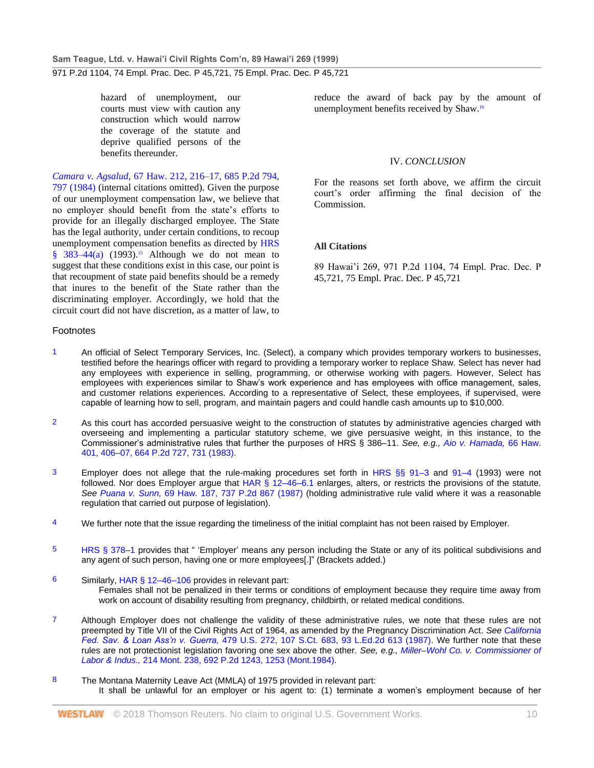hazard of unemployment, our courts must view with caution any construction which would narrow the coverage of the statute and deprive qualified persons of the benefits thereunder.

*Camara v. Agsalud,* [67 Haw. 212, 216–17, 685 P.2d 794,](http://www.westlaw.com/Link/Document/FullText?findType=Y&serNum=1984133357&pubNum=661&originatingDoc=Icec8c963f55911d9b386b232635db992&refType=RP&fi=co_pp_sp_661_797&originationContext=document&vr=3.0&rs=cblt1.0&transitionType=DocumentItem&contextData=(sc.UserEnteredCitation)#co_pp_sp_661_797)  [797 \(1984\)](http://www.westlaw.com/Link/Document/FullText?findType=Y&serNum=1984133357&pubNum=661&originatingDoc=Icec8c963f55911d9b386b232635db992&refType=RP&fi=co_pp_sp_661_797&originationContext=document&vr=3.0&rs=cblt1.0&transitionType=DocumentItem&contextData=(sc.UserEnteredCitation)#co_pp_sp_661_797) (internal citations omitted). Given the purpose of our unemployment compensation law, we believe that no employer should benefit from the state's efforts to provide for an illegally discharged employee. The State has the legal authority, under certain conditions, to recoup unemployment compensation benefits as directed by [HRS](http://www.westlaw.com/Link/Document/FullText?findType=L&pubNum=1000522&cite=HISTS383-44&originatingDoc=Icec8c963f55911d9b386b232635db992&refType=SP&originationContext=document&vr=3.0&rs=cblt1.0&transitionType=DocumentItem&contextData=(sc.UserEnteredCitation)#co_pp_8b3b0000958a4)   $§$  383–44(a) (1993).<sup>15</sup> Although we do not mean to suggest that these conditions exist in this case, our point is that recoupment of state paid benefits should be a remedy that inures to the benefit of the State rather than the discriminating employer. Accordingly, we hold that the circuit court did not have discretion, as a matter of law, to

# Footnotes

reduce the award of back pay by the amount of unemployment benefits received by Shaw.<sup>16</sup>

#### IV. *CONCLUSION*

For the reasons set forth above, we affirm the circuit court's order affirming the final decision of the Commission.

## **All Citations**

89 Hawai'i 269, 971 P.2d 1104, 74 Empl. Prac. Dec. P 45,721, 75 Empl. Prac. Dec. P 45,721

- 1 An official of Select Temporary Services, Inc. (Select), a company which provides temporary workers to businesses, testified before the hearings officer with regard to providing a temporary worker to replace Shaw. Select has never had any employees with experience in selling, programming, or otherwise working with pagers. However, Select has employees with experiences similar to Shaw's work experience and has employees with office management, sales, and customer relations experiences. According to a representative of Select, these employees, if supervised, were capable of learning how to sell, program, and maintain pagers and could handle cash amounts up to \$10,000.
- 2 As this court has accorded persuasive weight to the construction of statutes by administrative agencies charged with overseeing and implementing a particular statutory scheme, we give persuasive weight, in this instance, to the Commissioner's administrative rules that further the purposes of HRS § 386–11. *See, e.g., [Aio v. Hamada,](http://www.westlaw.com/Link/Document/FullText?findType=Y&serNum=1983128033&pubNum=661&originatingDoc=Icec8c963f55911d9b386b232635db992&refType=RP&fi=co_pp_sp_661_731&originationContext=document&vr=3.0&rs=cblt1.0&transitionType=DocumentItem&contextData=(sc.UserEnteredCitation)#co_pp_sp_661_731)* 66 Haw. [401, 406–07, 664 P.2d 727, 731 \(1983\).](http://www.westlaw.com/Link/Document/FullText?findType=Y&serNum=1983128033&pubNum=661&originatingDoc=Icec8c963f55911d9b386b232635db992&refType=RP&fi=co_pp_sp_661_731&originationContext=document&vr=3.0&rs=cblt1.0&transitionType=DocumentItem&contextData=(sc.UserEnteredCitation)#co_pp_sp_661_731)
- 3 Employer does not allege that the rule-making procedures set forth in [HRS §§ 91–3](http://www.westlaw.com/Link/Document/FullText?findType=L&pubNum=1000522&cite=HISTS91-3&originatingDoc=Icec8c963f55911d9b386b232635db992&refType=LQ&originationContext=document&vr=3.0&rs=cblt1.0&transitionType=DocumentItem&contextData=(sc.UserEnteredCitation)) and [91–4](http://www.westlaw.com/Link/Document/FullText?findType=L&pubNum=1000522&cite=HISTS91-4&originatingDoc=Icec8c963f55911d9b386b232635db992&refType=LQ&originationContext=document&vr=3.0&rs=cblt1.0&transitionType=DocumentItem&contextData=(sc.UserEnteredCitation)) (1993) were not followed. Nor does Employer argue that HAR § 12-46-6.1 enlarges, alters, or restricts the provisions of the statute. *See Puana v. Sunn,* [69 Haw. 187, 737 P.2d 867 \(1987\)](http://www.westlaw.com/Link/Document/FullText?findType=Y&serNum=1987070959&pubNum=661&originatingDoc=Icec8c963f55911d9b386b232635db992&refType=RP&originationContext=document&vr=3.0&rs=cblt1.0&transitionType=DocumentItem&contextData=(sc.UserEnteredCitation)) (holding administrative rule valid where it was a reasonable regulation that carried out purpose of legislation).
- 4 We further note that the issue regarding the timeliness of the initial complaint has not been raised by Employer.
- 5 [HRS § 378–1](http://www.westlaw.com/Link/Document/FullText?findType=L&pubNum=1000522&cite=HISTS378-1&originatingDoc=Icec8c963f55911d9b386b232635db992&refType=LQ&originationContext=document&vr=3.0&rs=cblt1.0&transitionType=DocumentItem&contextData=(sc.UserEnteredCitation)) provides that " 'Employer' means any person including the State or any of its political subdivisions and any agent of such person, having one or more employees[.]" (Brackets added.)
- 6 Similarly, [HAR § 12–46–106](http://www.westlaw.com/Link/Document/FullText?findType=L&pubNum=1016667&cite=HIADCS12-46-106&originatingDoc=Icec8c963f55911d9b386b232635db992&refType=LQ&originationContext=document&vr=3.0&rs=cblt1.0&transitionType=DocumentItem&contextData=(sc.UserEnteredCitation)) provides in relevant part: Females shall not be penalized in their terms or conditions of employment because they require time away from work on account of disability resulting from pregnancy, childbirth, or related medical conditions.
- 7 Although Employer does not challenge the validity of these administrative rules, we note that these rules are not preempted by Title VII of the Civil Rights Act of 1964, as amended by the Pregnancy Discrimination Act. *See [California](http://www.westlaw.com/Link/Document/FullText?findType=Y&serNum=1987004128&pubNum=708&originatingDoc=Icec8c963f55911d9b386b232635db992&refType=RP&originationContext=document&vr=3.0&rs=cblt1.0&transitionType=DocumentItem&contextData=(sc.UserEnteredCitation))  Fed. Sav. & Loan Ass'n v. Guerra,* [479 U.S. 272, 107 S.Ct. 683, 93 L.Ed.2d 613 \(1987\).](http://www.westlaw.com/Link/Document/FullText?findType=Y&serNum=1987004128&pubNum=708&originatingDoc=Icec8c963f55911d9b386b232635db992&refType=RP&originationContext=document&vr=3.0&rs=cblt1.0&transitionType=DocumentItem&contextData=(sc.UserEnteredCitation)) We further note that these rules are not protectionist legislation favoring one sex above the other. *See, e.g., [Miller–Wohl Co. v. Commissioner of](http://www.westlaw.com/Link/Document/FullText?findType=Y&serNum=1985100473&pubNum=661&originatingDoc=Icec8c963f55911d9b386b232635db992&refType=RP&fi=co_pp_sp_661_1253&originationContext=document&vr=3.0&rs=cblt1.0&transitionType=DocumentItem&contextData=(sc.UserEnteredCitation)#co_pp_sp_661_1253)  Labor & Indus.,* [214 Mont. 238, 692 P.2d 1243, 1253 \(Mont.1984\).](http://www.westlaw.com/Link/Document/FullText?findType=Y&serNum=1985100473&pubNum=661&originatingDoc=Icec8c963f55911d9b386b232635db992&refType=RP&fi=co_pp_sp_661_1253&originationContext=document&vr=3.0&rs=cblt1.0&transitionType=DocumentItem&contextData=(sc.UserEnteredCitation)#co_pp_sp_661_1253)
- 8 The Montana Maternity Leave Act (MMLA) of 1975 provided in relevant part: It shall be unlawful for an employer or his agent to: (1) terminate a women's employment because of her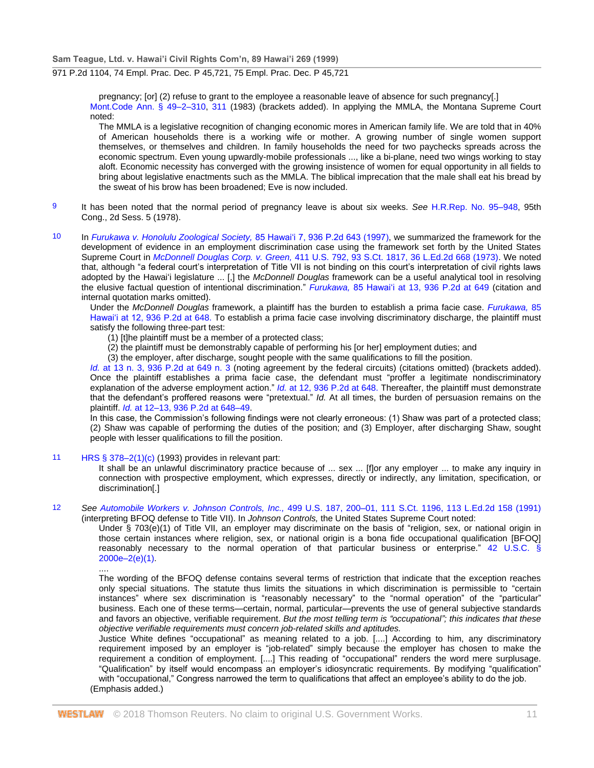pregnancy; [or] (2) refuse to grant to the employee a reasonable leave of absence for such pregnancy[.] [Mont.Code Ann. § 49–2–310,](http://www.westlaw.com/Link/Document/FullText?findType=L&pubNum=1002018&cite=MTST49-2-310&originatingDoc=Icec8c963f55911d9b386b232635db992&refType=LQ&originationContext=document&vr=3.0&rs=cblt1.0&transitionType=DocumentItem&contextData=(sc.UserEnteredCitation)) [311](http://www.westlaw.com/Link/Document/FullText?findType=L&pubNum=1002018&cite=MTST49-2-311&originatingDoc=Icec8c963f55911d9b386b232635db992&refType=LQ&originationContext=document&vr=3.0&rs=cblt1.0&transitionType=DocumentItem&contextData=(sc.UserEnteredCitation)) (1983) (brackets added). In applying the MMLA, the Montana Supreme Court noted:

The MMLA is a legislative recognition of changing economic mores in American family life. We are told that in 40% of American households there is a working wife or mother. A growing number of single women support themselves, or themselves and children. In family households the need for two paychecks spreads across the economic spectrum. Even young upwardly-mobile professionals ..., like a bi-plane, need two wings working to stay aloft. Economic necessity has converged with the growing insistence of women for equal opportunity in all fields to bring about legislative enactments such as the MMLA. The biblical imprecation that the male shall eat his bread by the sweat of his brow has been broadened; Eve is now included.

- 9 It has been noted that the normal period of pregnancy leave is about six weeks. *See* [H.R.Rep. No. 95–948,](http://www.westlaw.com/Link/Document/FullText?findType=Y&serNum=0100368975&pubNum=0100014&originatingDoc=Icec8c963f55911d9b386b232635db992&refType=TV&originationContext=document&vr=3.0&rs=cblt1.0&transitionType=DocumentItem&contextData=(sc.UserEnteredCitation)) 95th Cong., 2d Sess. 5 (1978).
- 10 In *[Furukawa v. Honolulu Zoological Society,](http://www.westlaw.com/Link/Document/FullText?findType=Y&serNum=1997087158&pubNum=661&originatingDoc=Icec8c963f55911d9b386b232635db992&refType=RP&originationContext=document&vr=3.0&rs=cblt1.0&transitionType=DocumentItem&contextData=(sc.UserEnteredCitation))* 85 Hawai'i 7, 936 P.2d 643 (1997), we summarized the framework for the development of evidence in an employment discrimination case using the framework set forth by the United States Supreme Court in *McDonnell Douglas Corp. v. Green,* [411 U.S. 792, 93 S.Ct. 1817, 36 L.Ed.2d 668 \(1973\).](http://www.westlaw.com/Link/Document/FullText?findType=Y&serNum=1973126392&pubNum=708&originatingDoc=Icec8c963f55911d9b386b232635db992&refType=RP&originationContext=document&vr=3.0&rs=cblt1.0&transitionType=DocumentItem&contextData=(sc.UserEnteredCitation)) We noted that, although "a federal court's interpretation of Title VII is not binding on this court's interpretation of civil rights laws adopted by the Hawai'i legislature ... [,] the *McDonnell Douglas* framework can be a useful analytical tool in resolving the elusive factual question of intentional discrimination." *Furukawa,* [85 Hawai'i at 13, 936 P.2d at 649](http://www.westlaw.com/Link/Document/FullText?findType=Y&serNum=1997087158&pubNum=661&originatingDoc=Icec8c963f55911d9b386b232635db992&refType=RP&fi=co_pp_sp_661_649&originationContext=document&vr=3.0&rs=cblt1.0&transitionType=DocumentItem&contextData=(sc.UserEnteredCitation)#co_pp_sp_661_649) (citation and internal quotation marks omitted).

Under the *McDonnell Douglas* framework, a plaintiff has the burden to establish a prima facie case. *[Furukawa,](http://www.westlaw.com/Link/Document/FullText?findType=Y&serNum=1997087158&pubNum=661&originatingDoc=Icec8c963f55911d9b386b232635db992&refType=RP&fi=co_pp_sp_661_648&originationContext=document&vr=3.0&rs=cblt1.0&transitionType=DocumentItem&contextData=(sc.UserEnteredCitation)#co_pp_sp_661_648)* 85 [Hawai'i at 12, 936 P.2d at 648.](http://www.westlaw.com/Link/Document/FullText?findType=Y&serNum=1997087158&pubNum=661&originatingDoc=Icec8c963f55911d9b386b232635db992&refType=RP&fi=co_pp_sp_661_648&originationContext=document&vr=3.0&rs=cblt1.0&transitionType=DocumentItem&contextData=(sc.UserEnteredCitation)#co_pp_sp_661_648) To establish a prima facie case involving discriminatory discharge, the plaintiff must satisfy the following three-part test:

- (1) [t]he plaintiff must be a member of a protected class;
- (2) the plaintiff must be demonstrably capable of performing his [or her] employment duties; and
- (3) the employer, after discharge, sought people with the same qualifications to fill the position.

*Id.* at 13 [n. 3, 936 P.2d at 649 n. 3](http://www.westlaw.com/Link/Document/FullText?findType=Y&serNum=1997087158&pubNum=661&originatingDoc=Icec8c963f55911d9b386b232635db992&refType=RP&fi=co_pp_sp_661_649&originationContext=document&vr=3.0&rs=cblt1.0&transitionType=DocumentItem&contextData=(sc.UserEnteredCitation)#co_pp_sp_661_649) (noting agreement by the federal circuits) (citations omitted) (brackets added). Once the plaintiff establishes a prima facie case, the defendant must "proffer a legitimate nondiscriminatory explanation of the adverse employment action." *Id.* [at 12, 936 P.2d at 648.](http://www.westlaw.com/Link/Document/FullText?findType=Y&serNum=1997087158&pubNum=661&originatingDoc=Icec8c963f55911d9b386b232635db992&refType=RP&fi=co_pp_sp_661_648&originationContext=document&vr=3.0&rs=cblt1.0&transitionType=DocumentItem&contextData=(sc.UserEnteredCitation)#co_pp_sp_661_648) Thereafter, the plaintiff must demonstrate that the defendant's proffered reasons were "pretextual." *Id.* At all times, the burden of persuasion remains on the plaintiff. *Id.* [at 12–13, 936 P.2d at 648–49.](http://www.westlaw.com/Link/Document/FullText?findType=Y&serNum=1997087158&pubNum=661&originatingDoc=Icec8c963f55911d9b386b232635db992&refType=RP&fi=co_pp_sp_661_648&originationContext=document&vr=3.0&rs=cblt1.0&transitionType=DocumentItem&contextData=(sc.UserEnteredCitation)#co_pp_sp_661_648)

In this case, the Commission's following findings were not clearly erroneous: (1) Shaw was part of a protected class; (2) Shaw was capable of performing the duties of the position; and (3) Employer, after discharging Shaw, sought people with lesser qualifications to fill the position.

11 HRS  $\S 378-2(1)(c)$  (1993) provides in relevant part:

It shall be an unlawful discriminatory practice because of ... sex ... [f]or any employer ... to make any inquiry in connection with prospective employment, which expresses, directly or indirectly, any limitation, specification, or discrimination[.]

12 *See Automobile Workers v. Johnson Controls, Inc.,* [499 U.S. 187, 200–01, 111 S.Ct. 1196, 113 L.Ed.2d 158 \(1991\)](http://www.westlaw.com/Link/Document/FullText?findType=Y&serNum=1991055983&pubNum=708&originatingDoc=Icec8c963f55911d9b386b232635db992&refType=RP&originationContext=document&vr=3.0&rs=cblt1.0&transitionType=DocumentItem&contextData=(sc.UserEnteredCitation)) (interpreting BFOQ defense to Title VII). In *Johnson Controls,* the United States Supreme Court noted:

Under § 703(e)(1) of Title VII, an employer may discriminate on the basis of "religion, sex, or national origin in those certain instances where religion, sex, or national origin is a bona fide occupational qualification [BFOQ] reasonably necessary to the normal operation of that particular business or enterprise." 42 U.S.C. § [2000e–2\(e\)\(1\).](http://www.westlaw.com/Link/Document/FullText?findType=L&pubNum=1000546&cite=42USCAS2000E-2&originatingDoc=Icec8c963f55911d9b386b232635db992&refType=RB&originationContext=document&vr=3.0&rs=cblt1.0&transitionType=DocumentItem&contextData=(sc.UserEnteredCitation)#co_pp_7fdd00001ca15)

.... The wording of the BFOQ defense contains several terms of restriction that indicate that the exception reaches only special situations. The statute thus limits the situations in which discrimination is permissible to "certain instances" where sex discrimination is "reasonably necessary" to the "normal operation" of the "particular" business. Each one of these terms—certain, normal, particular—prevents the use of general subjective standards and favors an objective, verifiable requirement. *But the most telling term is "occupational"; this indicates that these objective verifiable requirements must concern job-related skills and aptitudes.*

Justice White defines "occupational" as meaning related to a job. [....] According to him, any discriminatory requirement imposed by an employer is "job-related" simply because the employer has chosen to make the requirement a condition of employment. [....] This reading of "occupational" renders the word mere surplusage. "Qualification" by itself would encompass an employer's idiosyncratic requirements. By modifying "qualification" with "occupational," Congress narrowed the term to qualifications that affect an employee's ability to do the job. (Emphasis added.)